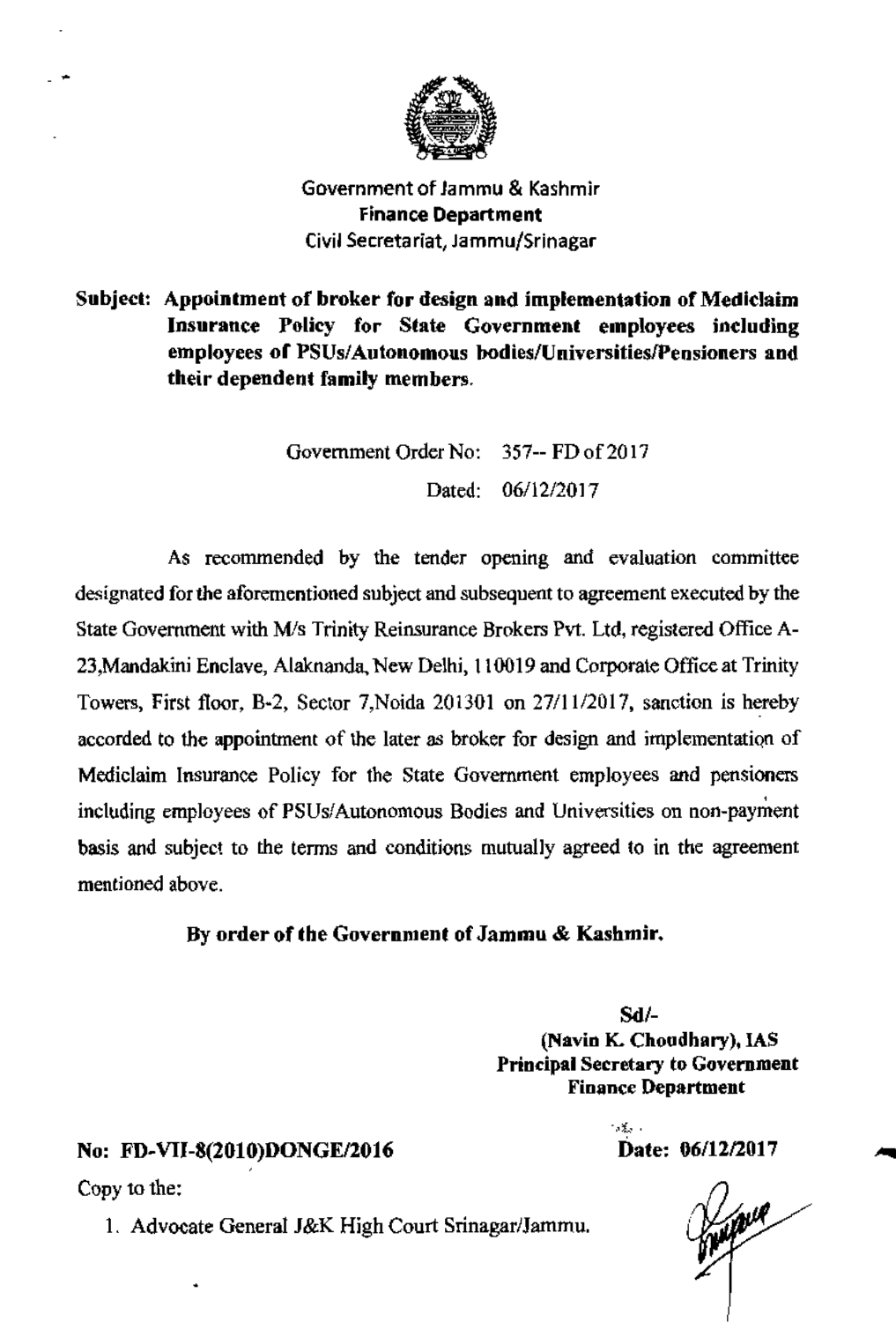

Government of Jammu & Kashmir **Finance Department** Civil Secretariat, Jammu/Srinagar

Subject: Appointment of broker for design and implementation of Mediclaim Insurance Policy for State Government employees including employees of PSUs/Autonomous bodies/Universities/Pensioners and their dependent family members.

> Government Order No: 357-- FD of 2017 Dated: 06/12/2017

As recommended by the tender opening and evaluation committee designated for the aforementioned subject and subsequent to agreement executed by the State Government with M/s Trinity Reinsurance Brokers Pvt. Ltd, registered Office A-23, Mandakini Enclave, Alaknanda, New Delhi, 110019 and Corporate Office at Trinity Towers, First floor, B-2, Sector 7, Noida 201301 on 27/11/2017, sanction is hereby accorded to the appointment of the later as broker for design and implementation of Mediclaim Insurance Policy for the State Government employees and pensioners including employees of PSUs/Autonomous Bodies and Universities on non-payment basis and subject to the terms and conditions mutually agreed to in the agreement mentioned above.

By order of the Government of Jammu & Kashmir.

 $Sd$ /-(Navin K. Choudhary), IAS **Principal Secretary to Government Finance Department** 

> $-35.1$ Date: 06/12/2017

## No: FD-VII-8(2010)DONGE/2016

Copy to the:

1. Advocate General J&K High Court Srinagar/Jammu.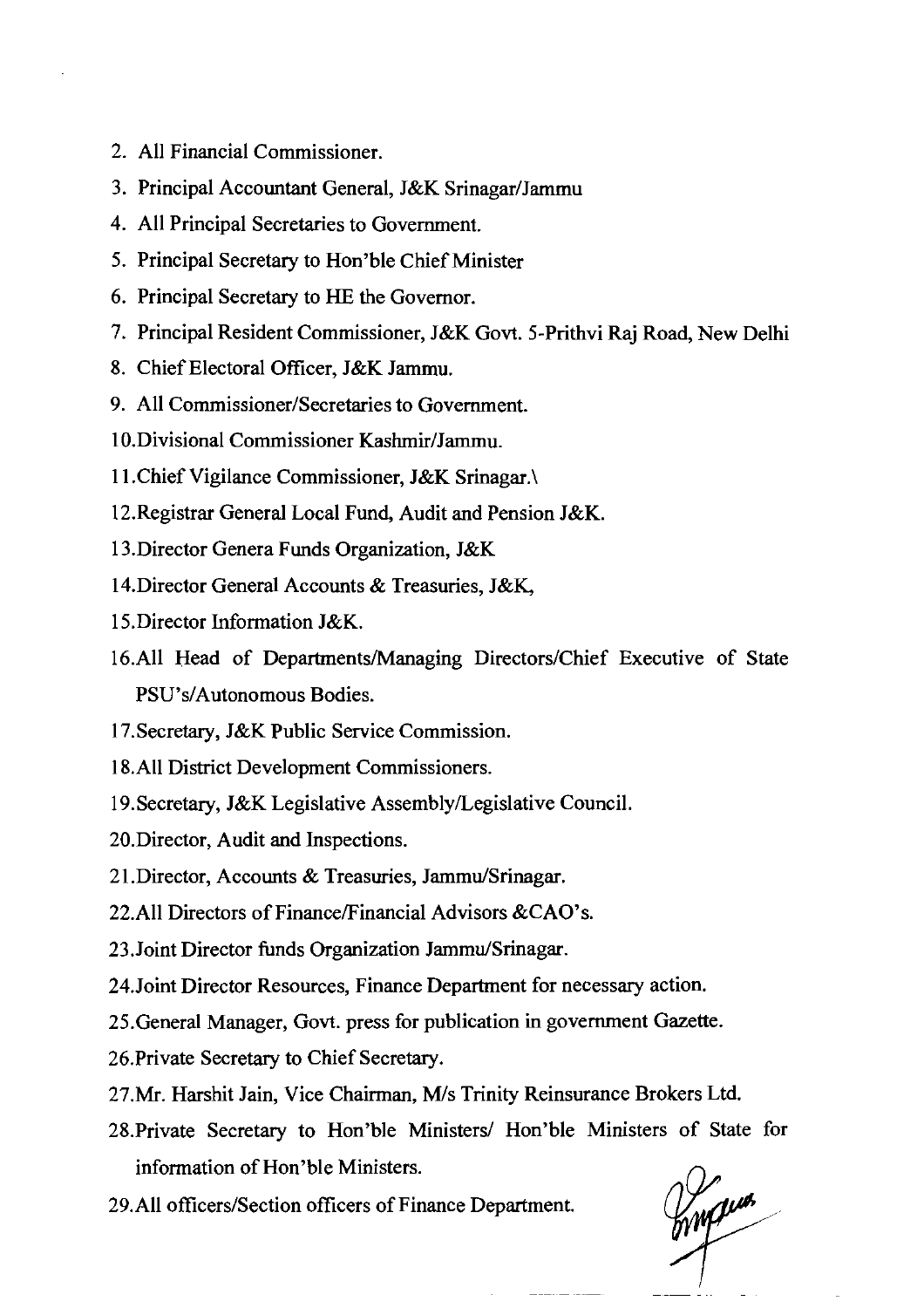- 2. All Financial Commissioner.
- 3. Principal Accountant General, J&K Srinagar/Jammu
- 4. All Principal Secretaries to Government.
- 5. Principal Secretary to Hon'ble Chief Minister
- 6. Principal Secretary to HE the Governor.
- 7. Principal Resident Commissioner, J&K Govt. 5-Prithvi Raj Road, New Delhi
- 8. Chief Electoral Officer, J&K Jammu.
- 9. All **Commissioner/Secretaries** to Government.
- 10. Divisional Commissioner Kashmir/Jammu.
- 1 1 .Chief Vigilance Commissioner, J&K Srinagar.\
- 12.Registrar General Local Fund, Audit and Pension J&K.
- 13.Director Genera Funds Organization, J&K
- 14.Director General Accounts & Treasuries, J&K,
- 15.Director Information J&K.
- 16.All Head of Departments/Managing Directors/Chief Executive of State PSU's/Autonomous Bodies.
- 17.Secretary, J&K Public Service Commission.
- 18.All District Development Commissioners.
- 19.Secretary, J&K Legislative Assembly/Legislative Council.
- 20.Director, Audit and Inspections.
- 21. Director, Accounts & Treasuries, Jammu/Srinagar.
- 22.All Directors of Finance/Financial Advisors &CAO's.
- 23. Joint Director funds Organization Jammu/Srinagar.
- 24.Joint Director Resources, Finance Department for necessary action.
- 25.General Manager, Govt. press for publication in government Gazette.
- 26.Private Secretary to Chief Secretary.
- 27.Mr. Harshit Jain, Vice Chairman, M/s Trinity Reinsurance Brokers Ltd.
- 28. Private Secretary to Hon'ble Ministers/ Hon'ble Ministers of State for information of Hon'ble Ministers.
- 29.All officers/Section officers of Finance Department.

my ma